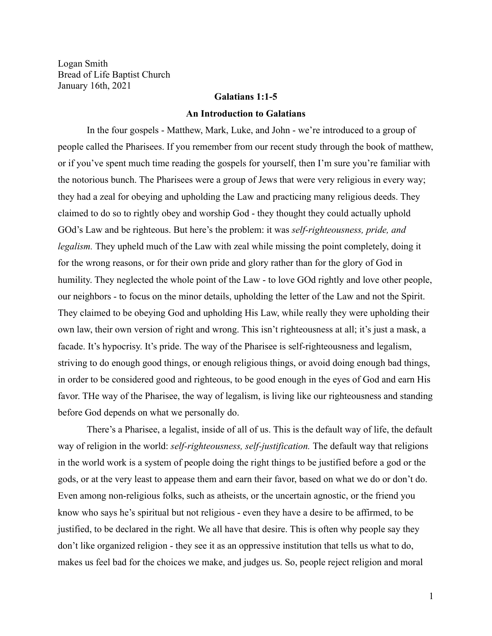Logan Smith Bread of Life Baptist Church January 16th, 2021

## **Galatians 1:1-5**

#### **An Introduction to Galatians**

In the four gospels - Matthew, Mark, Luke, and John - we're introduced to a group of people called the Pharisees. If you remember from our recent study through the book of matthew, or if you've spent much time reading the gospels for yourself, then I'm sure you're familiar with the notorious bunch. The Pharisees were a group of Jews that were very religious in every way; they had a zeal for obeying and upholding the Law and practicing many religious deeds. They claimed to do so to rightly obey and worship God - they thought they could actually uphold GOd's Law and be righteous. But here's the problem: it was *self-righteousness, pride, and legalism.* They upheld much of the Law with zeal while missing the point completely, doing it for the wrong reasons, or for their own pride and glory rather than for the glory of God in humility. They neglected the whole point of the Law - to love GOd rightly and love other people, our neighbors - to focus on the minor details, upholding the letter of the Law and not the Spirit. They claimed to be obeying God and upholding His Law, while really they were upholding their own law, their own version of right and wrong. This isn't righteousness at all; it's just a mask, a facade. It's hypocrisy. It's pride. The way of the Pharisee is self-righteousness and legalism, striving to do enough good things, or enough religious things, or avoid doing enough bad things, in order to be considered good and righteous, to be good enough in the eyes of God and earn His favor. THe way of the Pharisee, the way of legalism, is living like our righteousness and standing before God depends on what we personally do.

There's a Pharisee, a legalist, inside of all of us. This is the default way of life, the default way of religion in the world: *self-righteousness, self-justification.* The default way that religions in the world work is a system of people doing the right things to be justified before a god or the gods, or at the very least to appease them and earn their favor, based on what we do or don't do. Even among non-religious folks, such as atheists, or the uncertain agnostic, or the friend you know who says he's spiritual but not religious - even they have a desire to be affirmed, to be justified, to be declared in the right. We all have that desire. This is often why people say they don't like organized religion - they see it as an oppressive institution that tells us what to do, makes us feel bad for the choices we make, and judges us. So, people reject religion and moral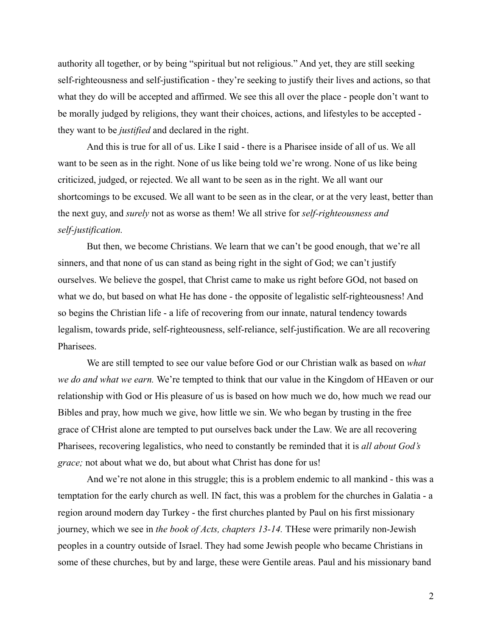authority all together, or by being "spiritual but not religious." And yet, they are still seeking self-righteousness and self-justification - they're seeking to justify their lives and actions, so that what they do will be accepted and affirmed. We see this all over the place - people don't want to be morally judged by religions, they want their choices, actions, and lifestyles to be accepted they want to be *justified* and declared in the right.

And this is true for all of us. Like I said - there is a Pharisee inside of all of us. We all want to be seen as in the right. None of us like being told we're wrong. None of us like being criticized, judged, or rejected. We all want to be seen as in the right. We all want our shortcomings to be excused. We all want to be seen as in the clear, or at the very least, better than the next guy, and *surely* not as worse as them! We all strive for *self-righteousness and self-justification.*

But then, we become Christians. We learn that we can't be good enough, that we're all sinners, and that none of us can stand as being right in the sight of God; we can't justify ourselves. We believe the gospel, that Christ came to make us right before GOd, not based on what we do, but based on what He has done - the opposite of legalistic self-righteousness! And so begins the Christian life - a life of recovering from our innate, natural tendency towards legalism, towards pride, self-righteousness, self-reliance, self-justification. We are all recovering **Pharisees** 

We are still tempted to see our value before God or our Christian walk as based on *what we do and what we earn.* We're tempted to think that our value in the Kingdom of HEaven or our relationship with God or His pleasure of us is based on how much we do, how much we read our Bibles and pray, how much we give, how little we sin. We who began by trusting in the free grace of CHrist alone are tempted to put ourselves back under the Law. We are all recovering Pharisees, recovering legalistics, who need to constantly be reminded that it is *all about God's grace;* not about what we do, but about what Christ has done for us!

And we're not alone in this struggle; this is a problem endemic to all mankind - this was a temptation for the early church as well. IN fact, this was a problem for the churches in Galatia - a region around modern day Turkey - the first churches planted by Paul on his first missionary journey, which we see in *the book of Acts, chapters 13-14.* THese were primarily non-Jewish peoples in a country outside of Israel. They had some Jewish people who became Christians in some of these churches, but by and large, these were Gentile areas. Paul and his missionary band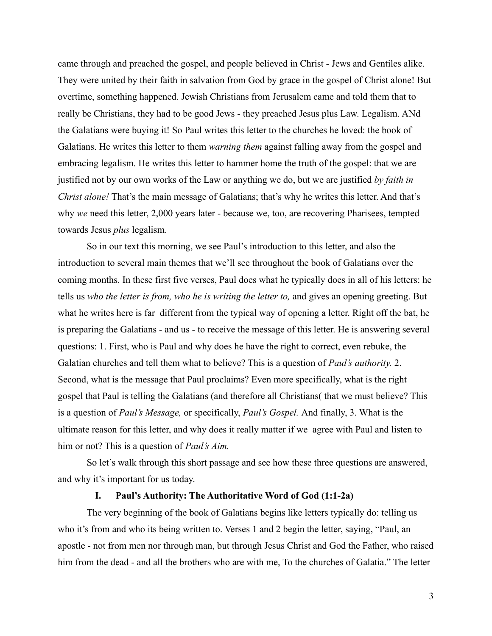came through and preached the gospel, and people believed in Christ - Jews and Gentiles alike. They were united by their faith in salvation from God by grace in the gospel of Christ alone! But overtime, something happened. Jewish Christians from Jerusalem came and told them that to really be Christians, they had to be good Jews - they preached Jesus plus Law. Legalism. ANd the Galatians were buying it! So Paul writes this letter to the churches he loved: the book of Galatians. He writes this letter to them *warning them* against falling away from the gospel and embracing legalism. He writes this letter to hammer home the truth of the gospel: that we are justified not by our own works of the Law or anything we do, but we are justified *by faith in Christ alone!* That's the main message of Galatians; that's why he writes this letter. And that's why *we* need this letter, 2,000 years later - because we, too, are recovering Pharisees, tempted towards Jesus *plus* legalism.

So in our text this morning, we see Paul's introduction to this letter, and also the introduction to several main themes that we'll see throughout the book of Galatians over the coming months. In these first five verses, Paul does what he typically does in all of his letters: he tells us *who the letter is from, who he is writing the letter to,* and gives an opening greeting. But what he writes here is far different from the typical way of opening a letter. Right off the bat, he is preparing the Galatians - and us - to receive the message of this letter. He is answering several questions: 1. First, who is Paul and why does he have the right to correct, even rebuke, the Galatian churches and tell them what to believe? This is a question of *Paul's authority.* 2. Second, what is the message that Paul proclaims? Even more specifically, what is the right gospel that Paul is telling the Galatians (and therefore all Christians( that we must believe? This is a question of *Paul's Message,* or specifically, *Paul's Gospel.* And finally, 3. What is the ultimate reason for this letter, and why does it really matter if we agree with Paul and listen to him or not? This is a question of *Paul's Aim.*

So let's walk through this short passage and see how these three questions are answered, and why it's important for us today.

## **I. Paul's Authority: The Authoritative Word of God (1:1-2a)**

The very beginning of the book of Galatians begins like letters typically do: telling us who it's from and who its being written to. Verses 1 and 2 begin the letter, saying, "Paul, an apostle - not from men nor through man, but through Jesus Christ and God the Father, who raised him from the dead - and all the brothers who are with me, To the churches of Galatia." The letter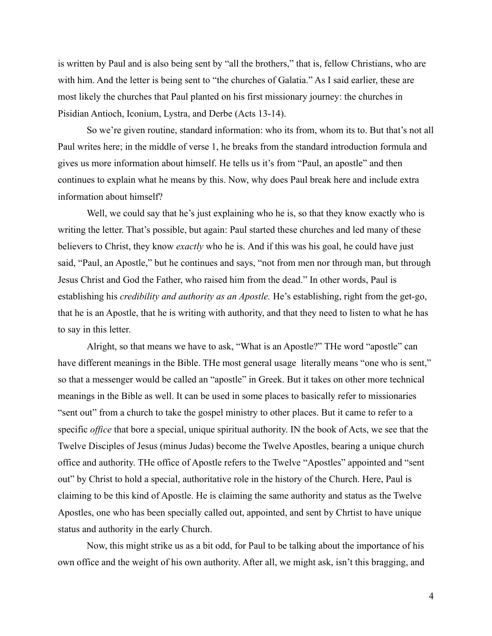is written by Paul and is also being sent by "all the brothers," that is, fellow Christians, who are with him. And the letter is being sent to "the churches of Galatia." As I said earlier, these are most likely the churches that Paul planted on his first missionary journey: the churches in Pisidian Antioch, Iconium, Lystra, and Derbe (Acts 13-14).

So we're given routine, standard information: who its from, whom its to. But that's not all Paul writes here; in the middle of verse 1, he breaks from the standard introduction formula and gives us more information about himself. He tells us it's from "Paul, an apostle" and then continues to explain what he means by this. Now, why does Paul break here and include extra information about himself?

Well, we could say that he's just explaining who he is, so that they know exactly who is writing the letter. That's possible, but again: Paul started these churches and led many of these believers to Christ, they know *exactly* who he is. And if this was his goal, he could have just said, "Paul, an Apostle," but he continues and says, "not from men nor through man, but through Jesus Christ and God the Father, who raised him from the dead." In other words, Paul is establishing his *credibility and authority as an Apostle.* He's establishing, right from the get-go, that he is an Apostle, that he is writing with authority, and that they need to listen to what he has to say in this letter.

Alright, so that means we have to ask, "What is an Apostle?" THe word "apostle" can have different meanings in the Bible. The most general usage literally means "one who is sent," so that a messenger would be called an "apostle" in Greek. But it takes on other more technical meanings in the Bible as well. It can be used in some places to basically refer to missionaries "sent out" from a church to take the gospel ministry to other places. But it came to refer to a specific *office* that bore a special, unique spiritual authority. IN the book of Acts, we see that the Twelve Disciples of Jesus (minus Judas) become the Twelve Apostles, bearing a unique church office and authority. THe office of Apostle refers to the Twelve "Apostles" appointed and "sent out" by Christ to hold a special, authoritative role in the history of the Church. Here, Paul is claiming to be this kind of Apostle. He is claiming the same authority and status as the Twelve Apostles, one who has been specially called out, appointed, and sent by Chrtist to have unique status and authority in the early Church.

Now, this might strike us as a bit odd, for Paul to be talking about the importance of his own office and the weight of his own authority. After all, we might ask, isn't this bragging, and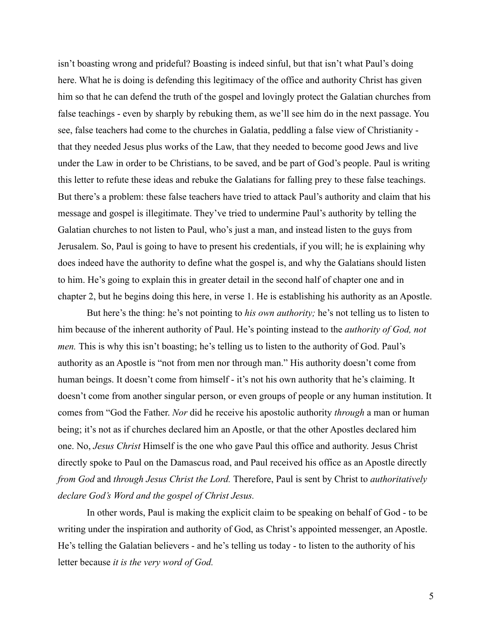isn't boasting wrong and prideful? Boasting is indeed sinful, but that isn't what Paul's doing here. What he is doing is defending this legitimacy of the office and authority Christ has given him so that he can defend the truth of the gospel and lovingly protect the Galatian churches from false teachings - even by sharply by rebuking them, as we'll see him do in the next passage. You see, false teachers had come to the churches in Galatia, peddling a false view of Christianity that they needed Jesus plus works of the Law, that they needed to become good Jews and live under the Law in order to be Christians, to be saved, and be part of God's people. Paul is writing this letter to refute these ideas and rebuke the Galatians for falling prey to these false teachings. But there's a problem: these false teachers have tried to attack Paul's authority and claim that his message and gospel is illegitimate. They've tried to undermine Paul's authority by telling the Galatian churches to not listen to Paul, who's just a man, and instead listen to the guys from Jerusalem. So, Paul is going to have to present his credentials, if you will; he is explaining why does indeed have the authority to define what the gospel is, and why the Galatians should listen to him. He's going to explain this in greater detail in the second half of chapter one and in chapter 2, but he begins doing this here, in verse 1. He is establishing his authority as an Apostle.

But here's the thing: he's not pointing to *his own authority;* he's not telling us to listen to him because of the inherent authority of Paul. He's pointing instead to the *authority of God, not men.* This is why this isn't boasting; he's telling us to listen to the authority of God. Paul's authority as an Apostle is "not from men nor through man." His authority doesn't come from human beings. It doesn't come from himself - it's not his own authority that he's claiming. It doesn't come from another singular person, or even groups of people or any human institution. It comes from "God the Father. *Nor* did he receive his apostolic authority *through* a man or human being; it's not as if churches declared him an Apostle, or that the other Apostles declared him one. No, *Jesus Christ* Himself is the one who gave Paul this office and authority. Jesus Christ directly spoke to Paul on the Damascus road, and Paul received his office as an Apostle directly *from God* and *through Jesus Christ the Lord.* Therefore, Paul is sent by Christ to *authoritatively declare God's Word and the gospel of Christ Jesus.*

In other words, Paul is making the explicit claim to be speaking on behalf of God - to be writing under the inspiration and authority of God, as Christ's appointed messenger, an Apostle. He's telling the Galatian believers - and he's telling us today - to listen to the authority of his letter because *it is the very word of God.*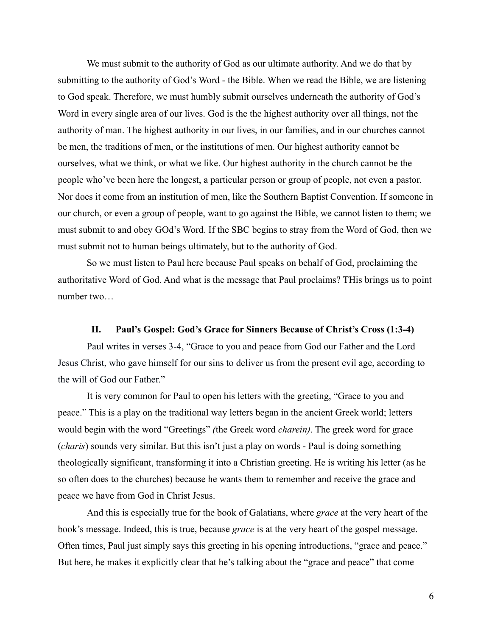We must submit to the authority of God as our ultimate authority. And we do that by submitting to the authority of God's Word - the Bible. When we read the Bible, we are listening to God speak. Therefore, we must humbly submit ourselves underneath the authority of God's Word in every single area of our lives. God is the the highest authority over all things, not the authority of man. The highest authority in our lives, in our families, and in our churches cannot be men, the traditions of men, or the institutions of men. Our highest authority cannot be ourselves, what we think, or what we like. Our highest authority in the church cannot be the people who've been here the longest, a particular person or group of people, not even a pastor. Nor does it come from an institution of men, like the Southern Baptist Convention. If someone in our church, or even a group of people, want to go against the Bible, we cannot listen to them; we must submit to and obey GOd's Word. If the SBC begins to stray from the Word of God, then we must submit not to human beings ultimately, but to the authority of God.

So we must listen to Paul here because Paul speaks on behalf of God, proclaiming the authoritative Word of God. And what is the message that Paul proclaims? THis brings us to point number two…

# **II. Paul's Gospel: God's Grace for Sinners Because of Christ's Cross (1:3-4)**

Paul writes in verses 3-4, "Grace to you and peace from God our Father and the Lord Jesus Christ, who gave himself for our sins to deliver us from the present evil age, according to the will of God our Father."

It is very common for Paul to open his letters with the greeting, "Grace to you and peace." This is a play on the traditional way letters began in the ancient Greek world; letters would begin with the word "Greetings" *(*the Greek word *charein)*. The greek word for grace (*charis*) sounds very similar. But this isn't just a play on words - Paul is doing something theologically significant, transforming it into a Christian greeting. He is writing his letter (as he so often does to the churches) because he wants them to remember and receive the grace and peace we have from God in Christ Jesus.

And this is especially true for the book of Galatians, where *grace* at the very heart of the book's message. Indeed, this is true, because *grace* is at the very heart of the gospel message. Often times, Paul just simply says this greeting in his opening introductions, "grace and peace." But here, he makes it explicitly clear that he's talking about the "grace and peace" that come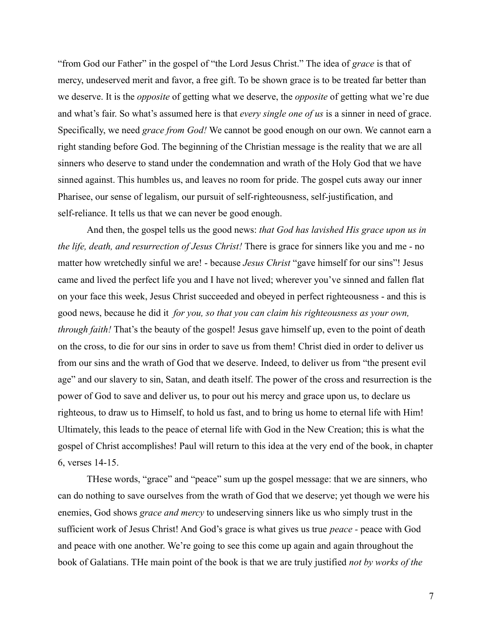"from God our Father" in the gospel of "the Lord Jesus Christ." The idea of *grace* is that of mercy, undeserved merit and favor, a free gift. To be shown grace is to be treated far better than we deserve. It is the *opposite* of getting what we deserve, the *opposite* of getting what we're due and what's fair. So what's assumed here is that *every single one of us* is a sinner in need of grace. Specifically, we need *grace from God!* We cannot be good enough on our own. We cannot earn a right standing before God. The beginning of the Christian message is the reality that we are all sinners who deserve to stand under the condemnation and wrath of the Holy God that we have sinned against. This humbles us, and leaves no room for pride. The gospel cuts away our inner Pharisee, our sense of legalism, our pursuit of self-righteousness, self-justification, and self-reliance. It tells us that we can never be good enough.

And then, the gospel tells us the good news: *that God has lavished His grace upon us in the life, death, and resurrection of Jesus Christ!* There is grace for sinners like you and me - no matter how wretchedly sinful we are! - because *Jesus Christ* "gave himself for our sins"! Jesus came and lived the perfect life you and I have not lived; wherever you've sinned and fallen flat on your face this week, Jesus Christ succeeded and obeyed in perfect righteousness - and this is good news, because he did it *for you, so that you can claim his righteousness as your own, through faith!* That's the beauty of the gospel! Jesus gave himself up, even to the point of death on the cross, to die for our sins in order to save us from them! Christ died in order to deliver us from our sins and the wrath of God that we deserve. Indeed, to deliver us from "the present evil age" and our slavery to sin, Satan, and death itself. The power of the cross and resurrection is the power of God to save and deliver us, to pour out his mercy and grace upon us, to declare us righteous, to draw us to Himself, to hold us fast, and to bring us home to eternal life with Him! Ultimately, this leads to the peace of eternal life with God in the New Creation; this is what the gospel of Christ accomplishes! Paul will return to this idea at the very end of the book, in chapter 6, verses 14-15.

THese words, "grace" and "peace" sum up the gospel message: that we are sinners, who can do nothing to save ourselves from the wrath of God that we deserve; yet though we were his enemies, God shows *grace and mercy* to undeserving sinners like us who simply trust in the sufficient work of Jesus Christ! And God's grace is what gives us true *peace -* peace with God and peace with one another. We're going to see this come up again and again throughout the book of Galatians. THe main point of the book is that we are truly justified *not by works of the*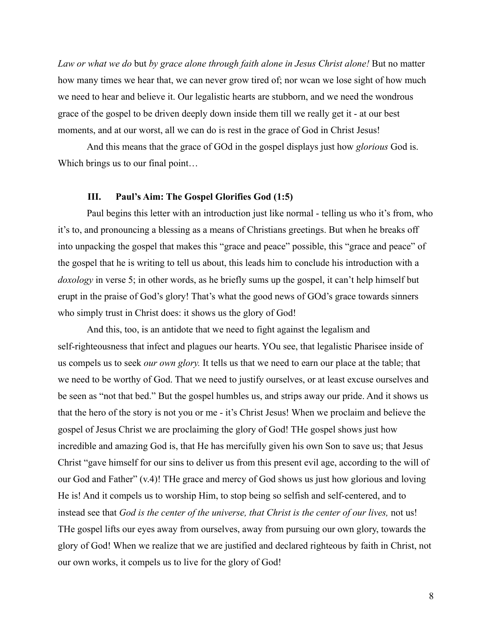*Law or what we do* but *by grace alone through faith alone in Jesus Christ alone!* But no matter how many times we hear that, we can never grow tired of; nor wcan we lose sight of how much we need to hear and believe it. Our legalistic hearts are stubborn, and we need the wondrous grace of the gospel to be driven deeply down inside them till we really get it - at our best moments, and at our worst, all we can do is rest in the grace of God in Christ Jesus!

And this means that the grace of GOd in the gospel displays just how *glorious* God is. Which brings us to our final point...

## **III. Paul's Aim: The Gospel Glorifies God (1:5)**

Paul begins this letter with an introduction just like normal - telling us who it's from, who it's to, and pronouncing a blessing as a means of Christians greetings. But when he breaks off into unpacking the gospel that makes this "grace and peace" possible, this "grace and peace" of the gospel that he is writing to tell us about, this leads him to conclude his introduction with a *doxology* in verse 5; in other words, as he briefly sums up the gospel, it can't help himself but erupt in the praise of God's glory! That's what the good news of GOd's grace towards sinners who simply trust in Christ does: it shows us the glory of God!

And this, too, is an antidote that we need to fight against the legalism and self-righteousness that infect and plagues our hearts. YOu see, that legalistic Pharisee inside of us compels us to seek *our own glory.* It tells us that we need to earn our place at the table; that we need to be worthy of God. That we need to justify ourselves, or at least excuse ourselves and be seen as "not that bed." But the gospel humbles us, and strips away our pride. And it shows us that the hero of the story is not you or me - it's Christ Jesus! When we proclaim and believe the gospel of Jesus Christ we are proclaiming the glory of God! THe gospel shows just how incredible and amazing God is, that He has mercifully given his own Son to save us; that Jesus Christ "gave himself for our sins to deliver us from this present evil age, according to the will of our God and Father" (v.4)! THe grace and mercy of God shows us just how glorious and loving He is! And it compels us to worship Him, to stop being so selfish and self-centered, and to instead see that *God is the center of the universe, that Christ is the center of our lives,* not us! THe gospel lifts our eyes away from ourselves, away from pursuing our own glory, towards the glory of God! When we realize that we are justified and declared righteous by faith in Christ, not our own works, it compels us to live for the glory of God!